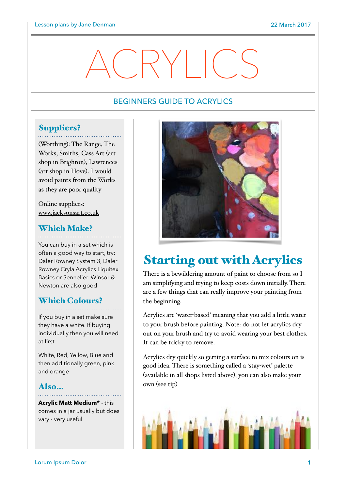# ACRYLICS

## BEGINNERS GUIDE TO ACRYLICS

## Suppliers?

(Worthing): The Range, The Works, Smiths, Cass Art (art shop in Brighton), Lawrences (art shop in Hove). I would avoid paints from the Works as they are poor quality

Online suppliers: [www.jacksonsart.co.uk](http://www.jacksonsart.co.uk)

## Which Make?

You can buy in a set which is often a good way to start, try: Daler Rowney System 3, Daler Rowney Cryla Acrylics Liquitex Basics or Sennelier. Winsor & Newton are also good

## Which Colours?

If you buy in a set make sure they have a white. If buying individually then you will need at first

White, Red, Yellow, Blue and then additionally green, pink and orange

## Also…

**Acrylic Matt Medium\*** - this comes in a jar usually but does vary - very useful



## Starting out with Acrylics

There is a bewildering amount of paint to choose from so I am simplifying and trying to keep costs down initially. There are a few things that can really improve your painting from the beginning.

Acrylics are 'water-based' meaning that you add a little water to your brush before painting. Note: do not let acrylics dry out on your brush and try to avoid wearing your best clothes. It can be tricky to remove.

Acrylics dry quickly so getting a surface to mix colours on is good idea. There is something called a 'stay-wet' palette (available in all shops listed above), you can also make your own (see tip)